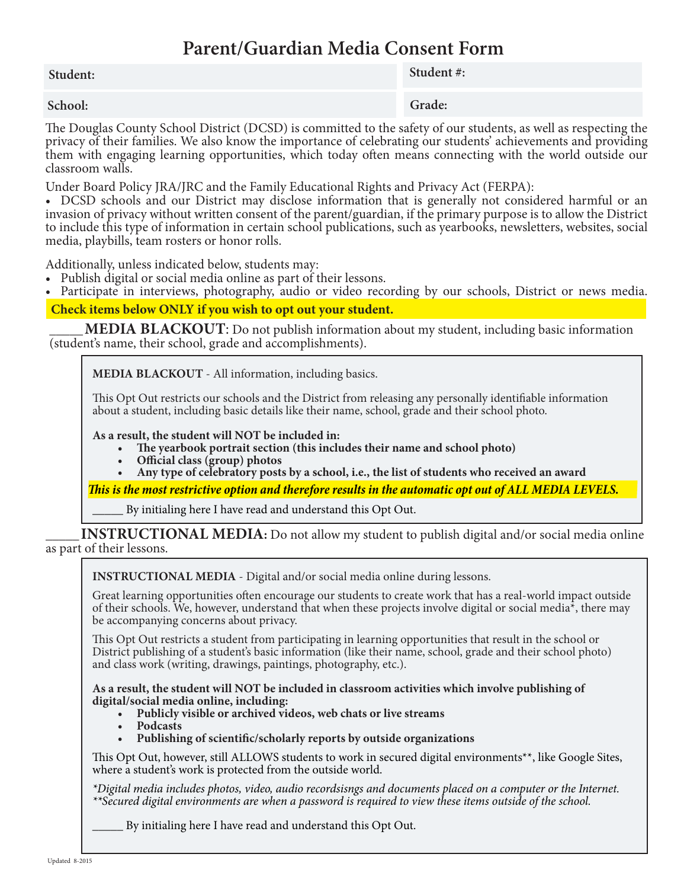# **Parent/Guardian Media Consent Form**

## **Student: Student #: Student #: Student #: Student #:**  $\bullet$

### **School:**

### **Grade:**

The Douglas County School District (DCSD) is committed to the safety of our students, as well as respecting the privacy of their families. We also know the importance of celebrating our students' achievements and providing them with engaging learning opportunities, which today often means connecting with the world outside our classroom walls.

Under Board Policy JRA/JRC and the Family Educational Rights and Privacy Act (FERPA):

• DCSD schools and our District may disclose information that is generally not considered harmful or an invasion of privacy without written consent of the parent/guardian, if the primary purpose is to allow the District to include this type of information in certain school publications, such as yearbooks, newsletters, websites, social media, playbills, team rosters or honor rolls.

Additionally, unless indicated below, students may:

- Publish digital or social media online as part of their lessons.
- Participate in interviews, photography, audio or video recording by our schools, District or news media.

**Check items below ONLY if you wish to opt out your student.**

**MEDIA BLACKOUT:** Do not publish information about my student, including basic information (student's name, their school, grade and accomplishments).

**MEDIA BLACKOUT** - All information, including basics.

This Opt Out restricts our schools and the District from releasing any personally identifiable information about a student, including basic details like their name, school, grade and their school photo.

#### **As a result, the student will NOT be included in:**

- The yearbook portrait section (this includes their name and school photo)
- *<u>Official class (group)</u>* photos
- Any type of celebratory posts by a school, i.e., the list of students who received an award

*This is the most restrictive option and therefore results in the automatic opt out of ALL MEDIA LEVELS.*

By initialing here I have read and understand this Opt Out.

**INSTRUCTIONAL MEDIA:** Do not allow my student to publish digital and/or social media online as part of their lessons.

**Instructional MEDIA** - Digital and/or social media online during lessons.

Great learning opportunities often encourage our students to create work that has a real-world impact outside of their schools. We, however, understand that when these projects involve digital or social media\*, there may be accompanying concerns about privacy.

This Opt Out restricts a student from participating in learning opportunities that result in the school or District publishing of a student's basic information (like their name, school, grade and their school photo) and class work (writing, drawings, paintings, photography, etc.).

**As a result, the student will NOT be included in classroom activities which involve publishing of digital/social media online, including:**

- **• Publicly visible or archived videos, web chats or live streams**
- **Podcasts**
- **• Publishing of scientific/scholarly reports by outside organizations**

This Opt Out, however, still ALLOWS students to work in secured digital environments\*\*, like Google Sites, where a student's work is protected from the outside world.

*\*Digital media includes photos, video, audio recordsisngs and documents placed on a computer or the Internet. \*\*Secured digital environments are when a password is required to view these items outside of the school.*

By initialing here I have read and understand this Opt Out.